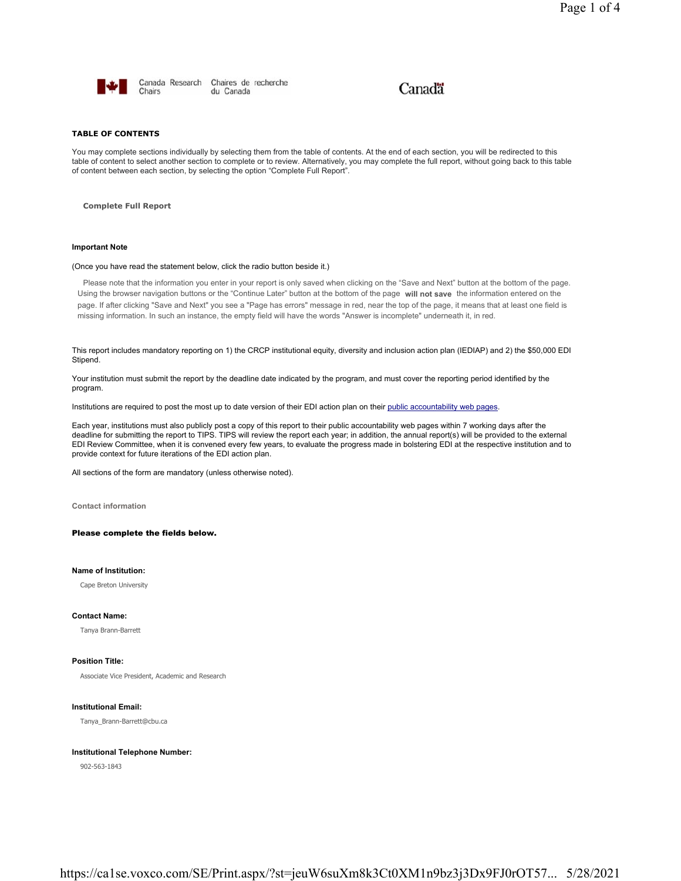

Canada Research Chaires de recherche Chairs du Canada

# Canadä

## **TABLE OF CONTENTS**

You may complete sections individually by selecting them from the table of contents. At the end of each section, you will be redirected to this table of content to select another section to complete or to review. Alternatively, you may complete the full report, without going back to this table of content between each section, by selecting the option "Complete Full Report".

**Complete Full Report**

#### **Important Note**

#### (Once you have read the statement below, click the radio button beside it.)

Please note that the information you enter in your report is only saved when clicking on the "Save and Next" button at the bottom of the page. Using the browser navigation buttons or the "Continue Later" button at the bottom of the page **will not save** the information entered on the page. If after clicking "Save and Next" you see a "Page has errors" message in red, near the top of the page, it means that at least one field is missing information. In such an instance, the empty field will have the words "Answer is incomplete" underneath it, in red.

This report includes mandatory reporting on 1) the CRCP institutional equity, diversity and inclusion action plan (IEDIAP) and 2) the \$50,000 EDI Stipend.

Your institution must submit the report by the deadline date indicated by the program, and must cover the reporting period identified by the program.

Institutions are required to post the most up to date version of their EDI action plan on their public accountability web pages.

Each year, institutions must also publicly post a copy of this report to their public accountability web pages within 7 working days after the deadline for submitting the report to TIPS. TIPS will review the report each year; in addition, the annual report(s) will be provided to the external EDI Review Committee, when it is convened every few years, to evaluate the progress made in bolstering EDI at the respective institution and to provide context for future iterations of the EDI action plan.

All sections of the form are mandatory (unless otherwise noted).

**Contact information**

## Please complete the fields below.

## **Name of Institution:**

Cape Breton University

## **Contact Name:**

Tanya Brann-Barrett

## **Position Title:**

Associate Vice President, Academic and Research

#### **Institutional Email:**

Tanya\_Brann-Barrett@cbu.ca

#### **Institutional Telephone Number:**

902-563-1843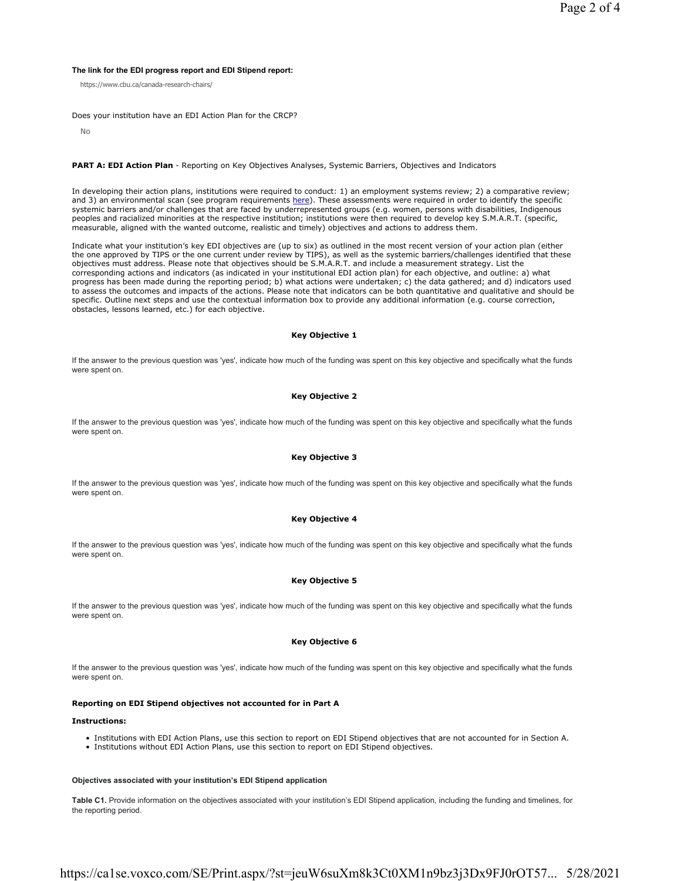## **The link for the EDI progress report and EDI Stipend report:**

https://www.cbu.ca/canada-research-chairs/

Does your institution have an EDI Action Plan for the CRCP?

No

#### **PART A: EDI Action Plan** - Reporting on Key Objectives Analyses, Systemic Barriers, Objectives and Indicators

In developing their action plans, institutions were required to conduct: 1) an employment systems review; 2) a comparative review; and 3) an environmental scan (see program requirements here). These assessments were required in order to identify the specific systemic barriers and/or challenges that are faced by underrepresented groups (e.g. women, persons with disabilities, Indigenous peoples and racialized minorities at the respective institution; institutions were then required to develop key S.M.A.R.T. (specific, measurable, aligned with the wanted outcome, realistic and timely) objectives and actions to address them.

Indicate what your institution's key EDI objectives are (up to six) as outlined in the most recent version of your action plan (either the one approved by TIPS or the one current under review by TIPS), as well as the systemic barriers/challenges identified that these objectives must address. Please note that objectives should be S.M.A.R.T. and include a measurement strategy. List the corresponding actions and indicators (as indicated in your institutional EDI action plan) for each objective, and outline: a) what progress has been made during the reporting period; b) what actions were undertaken; c) the data gathered; and d) indicators used to assess the outcomes and impacts of the actions. Please note that indicators can be both quantitative and qualitative and should be specific. Outline next steps and use the contextual information box to provide any additional information (e.g. course correction, obstacles, lessons learned, etc.) for each objective.

## **Key Objective 1**

If the answer to the previous question was 'yes', indicate how much of the funding was spent on this key objective and specifically what the funds were spent on.

## **Key Objective 2**

If the answer to the previous question was 'yes', indicate how much of the funding was spent on this key objective and specifically what the funds were spent on.

## **Key Objective 3**

If the answer to the previous question was 'yes', indicate how much of the funding was spent on this key objective and specifically what the funds were spent on.

## **Key Objective 4**

If the answer to the previous question was 'yes', indicate how much of the funding was spent on this key objective and specifically what the funds were spent on.

#### **Key Objective 5**

If the answer to the previous question was 'yes', indicate how much of the funding was spent on this key objective and specifically what the funds were spent on.

## **Key Objective 6**

If the answer to the previous question was 'yes', indicate how much of the funding was spent on this key objective and specifically what the funds were spent on.

## **Reporting on EDI Stipend objectives not accounted for in Part A**

#### **Instructions:**

- Institutions with EDI Action Plans, use this section to report on EDI Stipend objectives that are not accounted for in Section A.
- Institutions without EDI Action Plans, use this section to report on EDI Stipend objectives.

#### **Objectives associated with your institution's EDI Stipend application**

**Table C1.** Provide information on the objectives associated with your institution's EDI Stipend application, including the funding and timelines, for the reporting period.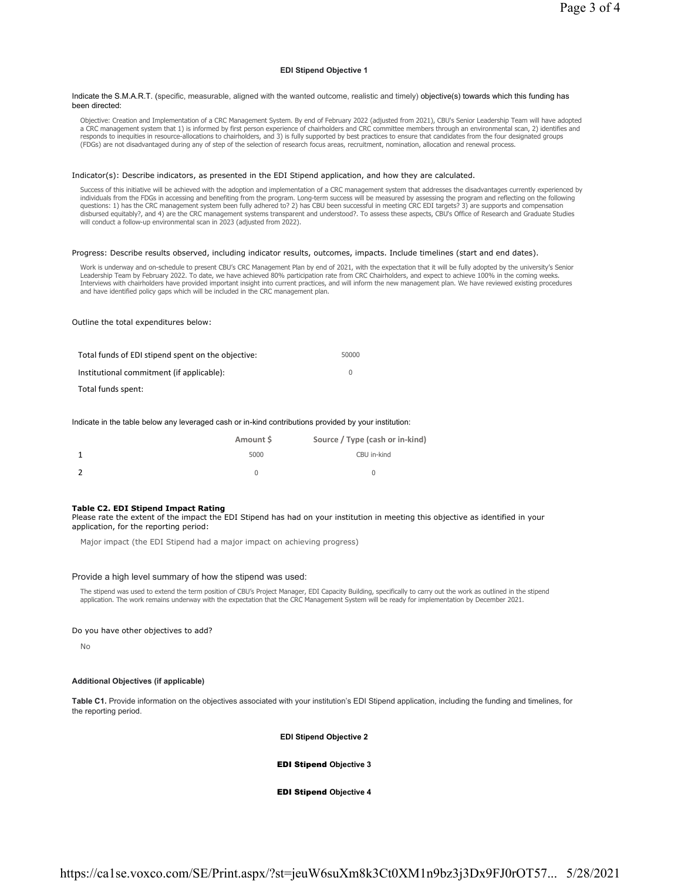## **EDI Stipend Objective 1**

#### Indicate the S.M.A.R.T. (specific, measurable, aligned with the wanted outcome, realistic and timely) objective(s) towards which this funding has been directed:

Objective: Creation and Implementation of a CRC Management System. By end of February 2022 (adjusted from 2021), CBU's Senior Leadership Team will have adopted a CRC management system that 1) is informed by first person experience of chairholders and CRC committee members through an environmental scan, 2) identifies and responds to inequities in resource-allocations to chairholders, and 3) is fully supported by best practices to ensure that candidates from the four designated groups<br>(FDGs) are not disadvantaged during any of step of the s

## Indicator(s): Describe indicators, as presented in the EDI Stipend application, and how they are calculated.

Success of this initiative will be achieved with the adoption and implementation of a CRC management system that addresses the disadvantages currently experienced by individuals from the FDGs in accessing and benefiting from the program. Long-term success will be measured by assessing the program and reflecting on the following questions: 1) has the CRC management system been fully adhered to? 2) has CBU been successful in meeting CRC EDI targets? 3) are supports and compensation disbursed equitably?, and 4) are the CRC management systems transparent and understood?. To assess these aspects, CBU's Office of Research and Graduate Studies will conduct a follow-up environmental scan in 2023 (adjusted from 2022).

#### Progress: Describe results observed, including indicator results, outcomes, impacts. Include timelines (start and end dates).

Work is underway and on-schedule to present CBU's CRC Management Plan by end of 2021, with the expectation that it will be fully adopted by the university's Senior Leadership Team by February 2022. To date, we have achieved 80% participation rate from CRC Chairholders, and expect to achieve 100% in the coming weeks. Interviews with chairholders have provided important insight into current practices, and will inform the new management plan. We have reviewed existing procedures<br>and have identified policy gaps which will be included in t

## Outline the total expenditures below:

| Total funds of EDI stipend spent on the objective: | 50000 |
|----------------------------------------------------|-------|
| Institutional commitment (if applicable):          |       |
| Total funds spent:                                 |       |

#### Indicate in the table below any leveraged cash or in-kind contributions provided by your institution:

| Amount S | Source / Type (cash or in-kind) |
|----------|---------------------------------|
| 5000     | CBU in-kind                     |
|          |                                 |

#### **Table C2. EDI Stipend Impact Rating**

Please rate the extent of the impact the EDI Stipend has had on your institution in meeting this objective as identified in your application, for the reporting period:

Major impact (the EDI Stipend had a major impact on achieving progress)

#### Provide a high level summary of how the stipend was used:

The stipend was used to extend the term position of CBU's Project Manager, EDI Capacity Building, specifically to carry out the work as outlined in the stipend application. The work remains underway with the expectation that the CRC Management System will be ready for implementation by December 2021.

#### Do you have other objectives to add?

No

## **Additional Objectives (if applicable)**

**Table C1.** Provide information on the objectives associated with your institution's EDI Stipend application, including the funding and timelines, for the reporting period.

## **EDI Stipend Objective 2**

## EDI Stipend **Objective 3**

EDI Stipend **Objective 4**